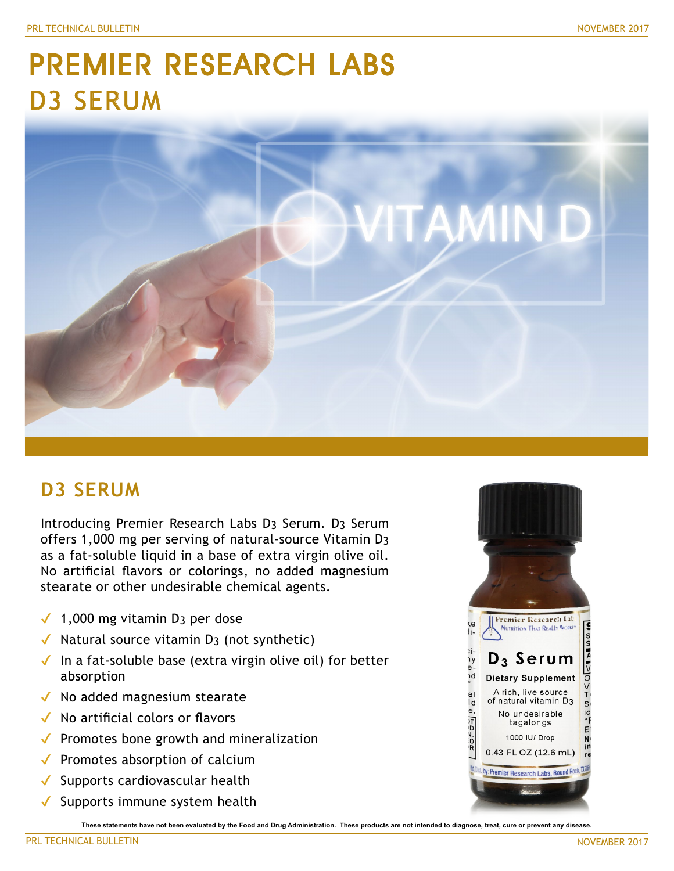# PREMIER RESEARCH LABS D3 SERUM



# **D3 SERUM**

Introducing Premier Research Labs D3 Serum. D3 Serum offers 1,000 mg per serving of natural-source Vitamin D3 as a fat-soluble liquid in a base of extra virgin olive oil. No artificial flavors or colorings, no added magnesium stearate or other undesirable chemical agents.

- $\sqrt{ }$  1,000 mg vitamin D<sub>3</sub> per dose
- $\checkmark$  Natural source vitamin D<sub>3</sub> (not synthetic)
- $\checkmark$  In a fat-soluble base (extra virgin olive oil) for better absorption
- ◆ No added magnesium stearate
- ✔ No artificial colors or flavors
- ◆ Promotes bone growth and mineralization
- ◆ Promotes absorption of calcium
- ✔ Supports cardiovascular health
- $\checkmark$  Supports immune system health

**These statements have not been evaluated by the Food and Drug Administration. These products are not intended to diagnose, treat, cure or prevent any disease.**